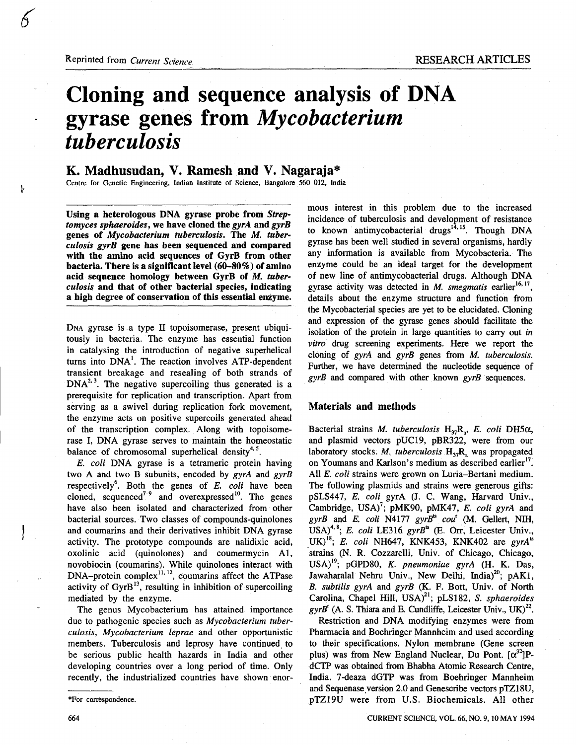Reprinted from Current Science.

 $\mathbf{r}$ 

# Cloning and sequence analysis of DNA gyrase genes from Mycobacterium tuberculosis

## K. Madhusudan, V. Ramesh and V. Nagaraja\*

Centre for Genetic Engineering, Indian Institute of Science, Bangalore 560 012, India

Using a heterologous DNA gyrase probe from Streptomyces sphaeroides, we have cloned the gyrA and gyrB genes of Mycobacterium tuberculosis. The M. tuberculosis gyrB gene has been sequenced and compared with the amino acid sequences of GyrB from other bacteria. There is a significant level (60-80%) of amino acid sequence homology between GyrB of  $M$ . tuberculosis and that of other bacterial species, indicating a high degree of conservation of this essential enzyme .

DNA gyrase is a type II topoisomerase, present ubiquitously in bacteria. The enzyme has essential function in catalysing the introduction of negative superhelical turns into DNA<sup>1</sup>. The reaction involves ATP-dependent transient breakage and resealing of both strands of  $DNA<sup>2,3</sup>$ . The negative supercoiling thus generated is a prerequisite for replication and transcription . Apart from serving as a swivel during replication fork movement, the enzyme acts on positive supercoils generated ahead of the transcription complex . Along with topoisomerase I, DNA gyrase serves to maintain the homeostatic balance of chromosomal superhelical density<sup>4, 5</sup>.

E. coli DNA gyrase is a tetrameric protein having two A and two B subunits, encoded by  $gyrA$  and  $gyrB$ respectively<sup>6</sup>. Both the genes of  $E$ . coli have been cloned, sequenced<sup>7-9</sup> and overexpressed<sup>10</sup>. The genes have also been isolated and characterized from other bacterial sources. Two classes of compounds-quinolones and coumarins and their derivatives inhibit DNA gyrase activity. The prototype compounds are nalidixic acid, oxolinic acid (quinolones) and coumermycin Al, novobiocin (coumarins). While quinolones interact with  $DNA-protein$  countered  $^{11, 12}$ , coumarins affect the ATPase activity of  $GyrB<sup>13</sup>$ , resulting in inhibition of supercoiling mediated by the enzyme.

The genus Mycobacterium has attained importance due to pathogenic species such as Mycobacterium tuberculosis, Mycobacterium leprae and other opportunistic members. Tuberculosis and leprosy have continued to be serious public health hazards in India and other developing countries over a long period of time. Only recently, the industrialized countries have shown enor-

\*For correspondence .

664

mous interest in this problem due to the increased incidence of tuberculosis and development of resistance to known antimycobacterial drugs<sup> $14,15$ </sup>. Though DNA gyrase has been well studied in several organisms, hardly any information is available from Mycobacteria. The enzyme could be an ideal target for the development of new line of antimycobacterial drugs . Although DNA gyrase activity was detected in  $M$ . smegmatis earlier<sup>16, 17</sup>. details about the enzyme structure and function from the Mycobacterial species are yet to be elucidated. Cloning and expression of the gyrase genes should facilitate the isolation of the protein in large quantities to carry out in vitro drug screening experiments . Here we report the cloning of  $gyrA$  and  $gyrB$  genes from  $M$ . tuberculosis. Further, we have determined the nucleotide sequence of  $gyrB$  and compared with other known  $gyrB$  sequences.

#### Materials and methods

Bacterial strains M. tuberculosis  $H_{37}R_a$ , E. coli DH5 $\alpha$ , and plasmid vectors pUC19, pBR322, were from our laboratory stocks. M. tuberculosis  $H_{37}R_2$  was propagated on Youmans and Karlson's medium as described earlier<sup>17</sup>. All E. coli strains were grown on Luria-Bertani medium. The following plasmids and strains were generous gifts: pSLS447, E. coli gyrA (J. C. Wang, Harvard Univ., Cambridge, USA)<sup>7</sup>; pMK90, pMK47, E. coli gyrA and gyrB and E. coli N4177 gyrB<sup>ts</sup> cou<sup>t</sup> (M. Gellert, NIH, USA)<sup>4, 8</sup>; E. coli LE316. gyrB<sup>ts</sup> (E. Orr, Leicester Univ.,  $UK)^{18}$ ; E. coli NH647, KNK453, KNK402 are gyrA<sup>ts</sup> strains (N. R. Cozzarelli, Univ. of Chicago, Chicago,  $USA$ <sup>19</sup>; pGPD80, K. pneumoniae gyrA (H. K. Das, Jawaharalal Nehru Univ., New Delhi, India); pAKI, B. subtilis gyrA and gyrB  $(K. F. Bott, Univ. of North)$ Carolina, Chapel Hill,  $USA)^{21}$ ; pLS182, S. sphaeroides  $gyrb$  (A. S. Thiara and E. Cundliffe, Leicester Univ., UK)<sup>2</sup>.

Restriction and DNA modifying enzymes were from Pharmacia and Boehringer Mannheim and used according to their specifications. Nylon membrane (Gene screen plus) was from New England Nuclear, Du Pont.  $\alpha^{32}$ PdCTP was obtained from Bhabha Atomic Research Centre, India . 7-deaza dGTP was from Boehringer Mannheim and Sequenase version 2.0 and Genescribe vectors pTZ18U, pTZ19U were from U.S. Biochemicals. All other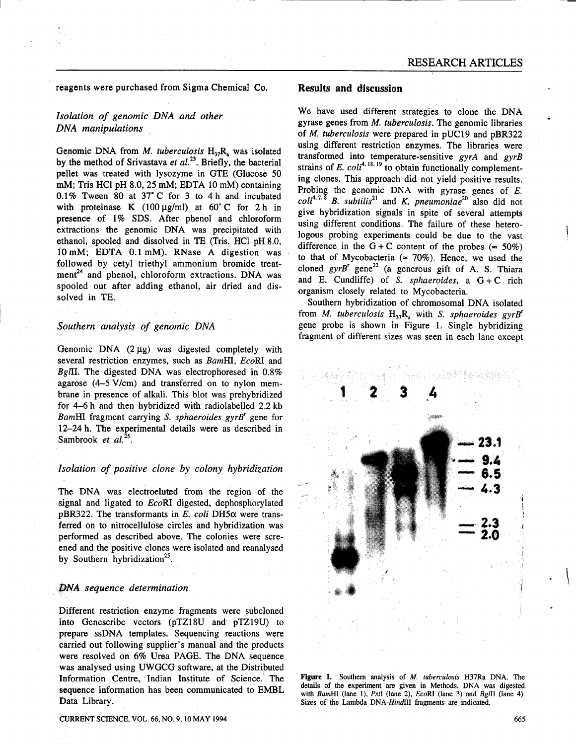reagents were purchased from Sigma Chemical Co.

### Isolation of genomic DNA and other DNA manipulations

Genomic DNA from *M. tuberculosis*  $H_{37}R_{a}$  was isolated by the method of Srivastava et  $al$ <sup>23</sup>. Briefly, the bacterial pellet was treated with lysozyme in GTE (Glucose 50 mM; Tris HCl pH  $8.0$ ,  $25$  mM; EDTA  $10$  mM) containing  $0.1\%$  Tween 80 at 37°C for 3 to 4 h and incubated with proteinase K  $(100 \mu g/ml)$  at  $60^{\circ}$ C for 2 h in presence of 1% SDS. After phenol and chloroform extractions the genomic DNA was precipitated with ethanol, spooled and dissolved in TE (Tris. HCl pH 8.0,  $10 \text{ mM}$ ; EDTA  $0.1 \text{ mM}$ ). RNase A digestion was followed by cetyl triethyl ammonium bromide treat $ment<sup>24</sup>$  and phenol, chloroform extractions. DNA was spooled out after adding ethanol, air dried and dissolved in TE.

#### Southern analysis of genomic DNA

Genomic DNA  $(2 \mu g)$  was digested completely with several restriction enzymes, such as BamHI, EcoRI and BgIII. The digested DNA was electrophoresed in  $0.8\%$ agarose (4-5V/cm) and transferred on to nylon membrane in presence of alkali. This blot was prehybridized for  $4-6$  h and then hybridized with radiolabelled 2.2 kb BamHI fragment carrying S. sphaeroides gyrB' gene for 12-24h. The experimental details were as described in Sambrook et  $al.^{25}$ .

#### Isolation of positive clone by colony hybridization

The DNA was electroeluted from the region of the signal and ligated to EcoRI digested, dephosphorylated pBR322. The transformants in E. coli DH5 $\alpha$  were transferred on to nitrocellulose circles and hybridization was performed as described above. The colonies were screened and the positive clones were isolated and reanalysed by Southern hybridization<sup>25</sup>.

#### DNA sequence determination

Different restriction enzyme fragments were subcloned into Genescribe vectors (pTZ18U and pTZ19U) to prepare ssDNA templates. Sequencing reactions were carried out following supplier's manual and the products were resolved on 6% Urea PAGE. The DNA sequence was analysed using UWGCG software, at the Distributed Information Centre, Indian Institute of Science. The sequence information has been communicated to EMBL Data Library.

#### Results and discussion

We have used different strategies to clone the DNA gyrase genes from M. tuberculosis. The genomic libraries of M. tuberculosis were prepared in pUC19 and pBR322 using different restriction enzymes. The libraries were transformed into temperature-sensitive  $gyrA$  and  $gyrB$ strains of E.  $col^{r, 10, 19}$  to obtain functionally complementing clones. This approach did not yield positive results. Probing the genomic DNA with gyrase genes of E.  $\text{coll}^{4,7,\overline{8}}$  B. subtilis<sup>21</sup> and K. pneumoniae<sup>20</sup> also did not give hybridization signals in spite of several attempts using different conditions. The failure of these heterologous probing experiments could be due to the vast difference in the G + C content of the probes ( $\approx$  50%) to that of Mycobacteria ( $\approx$  70%). Hence, we used the cloned  $gyrB^r$  gene<sup>22</sup> (a generous gift of A. S. Thiara and E. Cundliffe) of S. sphaeroides, a  $G + C$  rich organism closely related to Mycobacteria.

Southern hybridization of chromosomal DNA isolated from *M. tuberculosis*  $H_{37}R_a$  with *S. sphaeroides gyrB<sup>t</sup>* gene probe is shown in Figure 1. Single hybridizing fragment of different sizes was seen in each lane except



Figure 1. Southern analysis of M. tuberculosis H37Ra DNA. The details of the experiment are given in Methods . DNA was digested with BamHI (lane 1), Pstl (lane 2), EcoRI (lane 3) and Bglll (lane 4). Sizes of the Lambda DNA-HindIII fragments are indicated.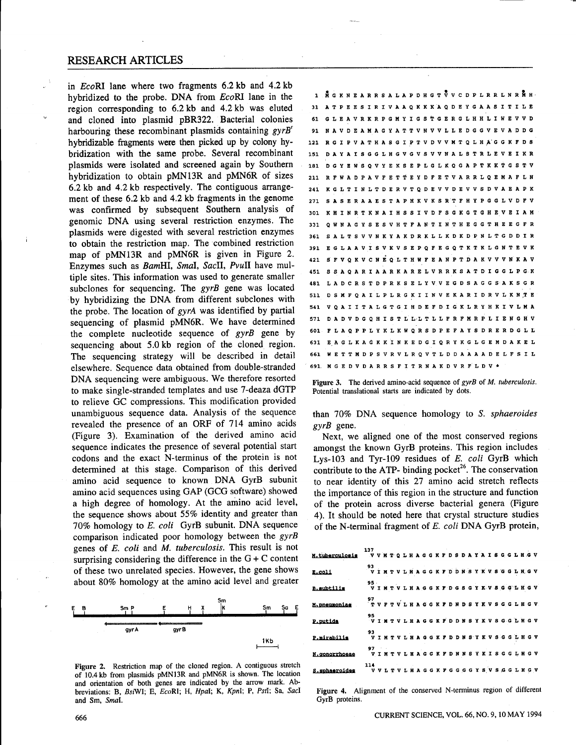$\mathbb{R}^n$ 

in EcoRI lane where two fragments 6.2 kb and 4.2 kb hybridized to the probe. DNA from  $EcoRI$  lane in the region corresponding to 6.2 kb and 4.2 kb was eluted and cloned into plasmid pBR322 . Bacterial colonies harbouring these recombinant plasmids containing gyrB<sup>"</sup> hybridizable fragments were then picked up by colony hybridization with the same probe. Several recombinant plasmids were isolated and screened again by Southern hybridization to obtain pMN13R and pMN6R of sizes 6 .2 kb and 4.2 kb respectively . The contiguous arrangement of these 6.2 kb and 4.2 kb fragments in the genome was confirmed by subsequent Southern analysis of genomic DNA using several restriction enzymes. The plasmids were digested with several restriction enzymes to obtain the restriction map. The combined restriction map of pMN13R and pMN6R is given in Figure 2. Enzymes such as BamHI, Smal, SacII, PvuII have multiple sites. This information was used to generate smaller subclones for sequencing. The  $gyrB$  gene was located by hybridizing the DNA from different subclones with the probe. The location of gyrA was identified by partial sequencing of plasmid pMN6R. We have determined the complete nucleotide sequence of gyrB gene by sequencing about 5.0 kb region of the cloned region. The sequencing strategy will be described in detail elsewhere . Sequence data obtained from double-stranded DNA sequencing were ambiguous. We therefore resorted to make single-stranded templates and use 7-deaza dGTP to relieve GC compressions. This modification provided unambiguous sequence data . Analysis of the sequence revealed the presence of an ORF of 714 amino acids (Figure 3) . Examination of the derived amino acid sequence indicates the presence of several potential start codons and the exact N-terminus of the protein is not determined at this stage. Comparison of this derived amino acid sequence to known DNA GyrB subunit amino acid sequences using GAP (GCG software) showed a high degree of homology . At the amino acid level, the sequence shows about  $55\%$  identity and greater than 70% homology to E. coli GyrB subunit. DNA sequence comparison indicated poor homology between the gyrB genes of E. coli and M. tuberculosis. This result is not surprising considering the difference in the  $G + C$  content of these two unrelated species . However, the gene shows about 80% homology at the amino acid level and greater RESEARCH ARTICLES



Figure 2. Restriction map of the cloned region. A contiguous stretch of 10 .4 kb from plasmids pMN13R and pMN6R is shown . The location and orientation of both genes are indicated by the arrow mark . Abbreviations: B, BsiWI; E, EcoRI; H, Hpal; K, KpnI; P, PsiI; Sa, SacI and Sm, Smal.

| 1 NG KNE ARRS A LAPDHG T V V C D P L R R L N R N H . |  |  |  |  |  |  |  |  |  |  |                                                             |  |  |  |  |                                                             |
|------------------------------------------------------|--|--|--|--|--|--|--|--|--|--|-------------------------------------------------------------|--|--|--|--|-------------------------------------------------------------|
| 31                                                   |  |  |  |  |  |  |  |  |  |  | A T P E E S I R I V A A Q K K K A Q D E Y G A A S I T I L E |  |  |  |  |                                                             |
| 61                                                   |  |  |  |  |  |  |  |  |  |  | G L E A V R K R P G M Y I G S T G E R G L H H L I W E V V D |  |  |  |  |                                                             |
| 91                                                   |  |  |  |  |  |  |  |  |  |  | N A V D E A M A G Y A T T V N V V L L E D G G V E V A D D G |  |  |  |  |                                                             |
| 121                                                  |  |  |  |  |  |  |  |  |  |  | R G I P V A T H A S G I P T V D V V M T Q L H A G G K F D S |  |  |  |  |                                                             |
| 151                                                  |  |  |  |  |  |  |  |  |  |  | DAYAIS G G L H G V G V S V V N A L S T R L E V E I K R      |  |  |  |  |                                                             |
| 181                                                  |  |  |  |  |  |  |  |  |  |  | D G Y E W S Q V Y E K S E P L G L K Q G A P T K K T G S T V |  |  |  |  |                                                             |
| 211                                                  |  |  |  |  |  |  |  |  |  |  | R F W A D P A V F E T T E Y D F E T V A R R L Q E M A F L N |  |  |  |  |                                                             |
| 241                                                  |  |  |  |  |  |  |  |  |  |  | K G L T I N L T D E R V T Q D E V V D E V V S D V A E A P K |  |  |  |  |                                                             |
| 271                                                  |  |  |  |  |  |  |  |  |  |  | SA SERA A E STAPHKVKSRTFHYPGGLVDFV                          |  |  |  |  |                                                             |
| 301                                                  |  |  |  |  |  |  |  |  |  |  | K H I N R T K N A I H S S I V D F S G K G T G H E V E I A M |  |  |  |  |                                                             |
| 331                                                  |  |  |  |  |  |  |  |  |  |  | Q W N A G Y S E S V H T F A N T I N T H E G G T H E E G F R |  |  |  |  |                                                             |
| 361                                                  |  |  |  |  |  |  |  |  |  |  | S A L T S V V N K Y A K D R K L L K D K D P N L T G D D I R |  |  |  |  |                                                             |
| 391                                                  |  |  |  |  |  |  |  |  |  |  |                                                             |  |  |  |  | E G L A A V I S V K V S E P Q F E G Q T K T K L G N T E V K |
| 421                                                  |  |  |  |  |  |  |  |  |  |  | S F V O K V C N E Q L T H W F E A N P T D A K V V V N K A V |  |  |  |  |                                                             |
| 451                                                  |  |  |  |  |  |  |  |  |  |  |                                                             |  |  |  |  | S S A Q A R I A A R K A R E L V R R K S A T D I G G L P G K |
| 481                                                  |  |  |  |  |  |  |  |  |  |  | L A D C R S T D P R K S E L Y V V E G D S A G G S A K S G R |  |  |  |  |                                                             |
| 511                                                  |  |  |  |  |  |  |  |  |  |  |                                                             |  |  |  |  | D S M F Q A I L P L R G K I I N V E K A R I D R V L K N T E |
| 541                                                  |  |  |  |  |  |  |  |  |  |  | V Q A I I T A L G T G I H D E F D I G K L R Y H K I V L M A |  |  |  |  |                                                             |
| 571                                                  |  |  |  |  |  |  |  |  |  |  |                                                             |  |  |  |  | D A D V D G Q H I S T L L L T L L F R F M R P L I E N G H V |
| 601.                                                 |  |  |  |  |  |  |  |  |  |  |                                                             |  |  |  |  | F L A O P P L Y K L K W O R S D P E F A Y S D R E R D G L L |
| 631                                                  |  |  |  |  |  |  |  |  |  |  |                                                             |  |  |  |  | E A G L K A G K K I N K E D G I Q R Y K G L G E M D A K E L |
| 661                                                  |  |  |  |  |  |  |  |  |  |  |                                                             |  |  |  |  | WETTMDPS VR VL R Q V T L D D A A A A D E L F S I L          |
| 691.                                                 |  |  |  |  |  |  |  |  |  |  | MGEDVDARRSFITRNAKDVRFLDV*                                   |  |  |  |  |                                                             |

Figure 3. The derived amino-acid sequence of  $gyrB$  of *M. tuberculosis.* Potential translational starts are indicated by dots.

than 70% DNA sequence homology to S. sphaeroides gyrB gene.

Next, we aligned one of the most conserved regions amongst the known GyrB proteins. This region includes Lys-103 and Tyr-109 residues of  $E$ . coli GyrB which contribute to the ATP- binding pocket<sup>26</sup>. The conservation to near identity of this 27 amino acid stretch reflects the importance of this region in the structure and function of the protein across diverse bacterial genera (Figure 4). It should be noted here that crystal structure studies of the N-terminal fragment of E. coli DNA GyrB protein,

| 137<br>M.tuberculosis VVNTQLHAGGKFDSDAYAISGGLHGV |                                                             |  |  |  |  |  |  |  |  |  |  |  |  |  |
|--------------------------------------------------|-------------------------------------------------------------|--|--|--|--|--|--|--|--|--|--|--|--|--|
| E.coli                                           | 93<br>VIMTVLHAGGKFDDNSYKVSGGLHGV                            |  |  |  |  |  |  |  |  |  |  |  |  |  |
| <b>B.subtilis</b>                                | 95<br>VIMTVLHAGGKFDGSGYKVSGGLHGV                            |  |  |  |  |  |  |  |  |  |  |  |  |  |
| M.pneumoniae                                     | 97<br>′TVFTVLHAGGKFDNDSYKVSGGLHGV                           |  |  |  |  |  |  |  |  |  |  |  |  |  |
| P. putida                                        | 95<br>VIMTVLHAGGKFDDNSYKVSGGLHGV                            |  |  |  |  |  |  |  |  |  |  |  |  |  |
| P.mirabilis                                      | 93<br>  V I M T V L H A G G K F D D N S Y K V S G G L H G V |  |  |  |  |  |  |  |  |  |  |  |  |  |
| N. gonorrhoeae                                   | 97<br>- VIMTVLHAGGKFDNNSYKISGGLHGV                          |  |  |  |  |  |  |  |  |  |  |  |  |  |
| 114<br>S.sphaeroides VVLTVLHAGGKFGGGGYSVSGGLHGV  |                                                             |  |  |  |  |  |  |  |  |  |  |  |  |  |

Figure 4. Alignment of the conserved N-terminus region of different GyrB proteins.